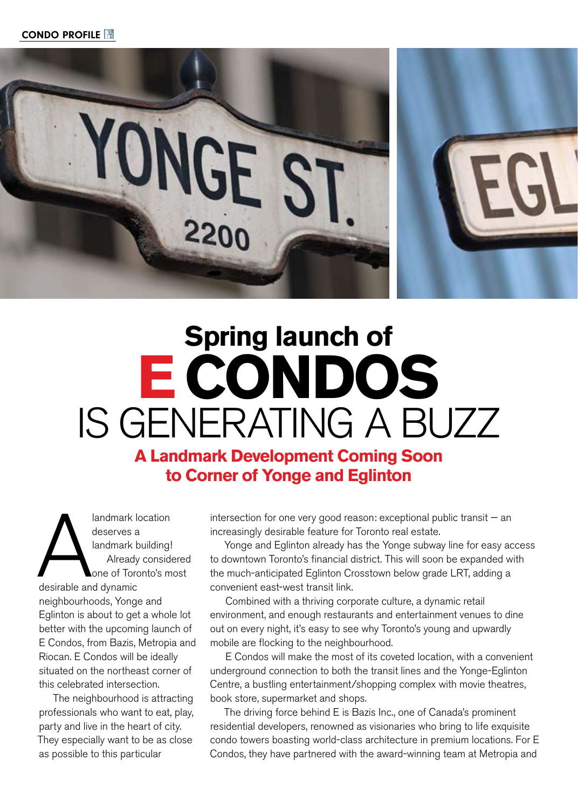

## **Spring launch of ECONDOS**  IS GENERATING A BUZZ

**A Landmark Development Coming Soon to Corner of Yonge and Eglinton** 

A<br>
deserves a<br>
landmark b<br>
Already<br>
one of Torc<br>
desirable and dynamic landmark location deserves a landmark building! Already considered one of Toronto's most neighbourhoods, Yonge and Eglinton is about to get a whole lot better with the upcoming launch of E Condos, from Bazis, Metropia and Riocan. E Condos will be ideally situated on the northeast corner of this celebrated intersection.

The neighbourhood is attracting professionals who want to eat, play, party and live in the heart of city. They especially want to be as close as possible to this particular

intersection for one very good reason: exceptional public transit  $-$  an increasingly desirable feature for Toronto real estate.

Yonge and Eglinton already has the Yonge subway line for easy access to downtown Toronto's financial district. This will soon be expanded with the much-anticipated Eglinton Crosstown below grade LRT, adding a convenient east-west transit link.

Combined with a thriving corporate culture, a dynamic retail environment, and enough restaurants and entertainment venues to dine out on every night, it's easy to see why Toronto's young and upwardly mobile are flocking to the neighbourhood.

E Condos will make the most of its coveted location, with a convenient underground connection to both the transit lines and the Yonge-Eglinton Centre, a bustling entertainment/shopping complex with movie theatres, book store, supermarket and shops.

The driving force behind E is Bazis Inc., one of Canada's prominent residential developers, renowned as visionaries who bring to life exquisite condo towers boasting world-class architecture in premium locations. For E Condos, they have partnered with the award-winning team at Metropia and